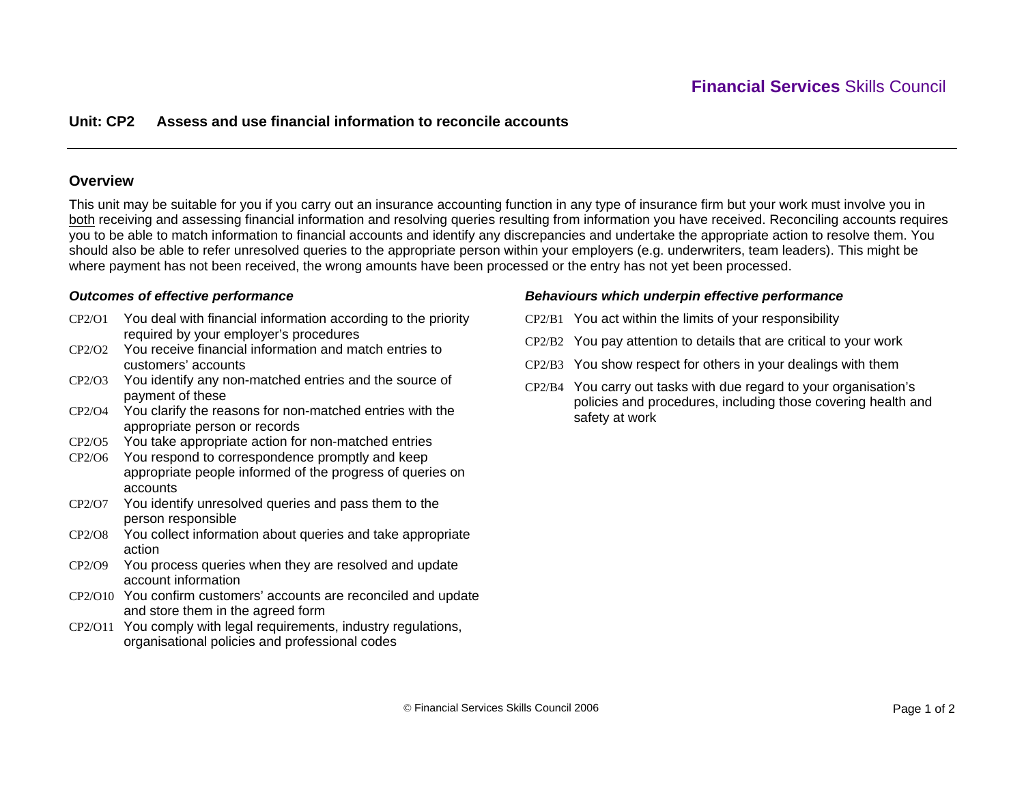# **Unit: CP2 Assess and use financial information to reconcile accounts**

## **Overview**

This unit may be suitable for you if you carry out an insurance accounting function in any type of insurance firm but your work must involve you in both receiving and assessing financial information and resolving queries resulting from information you have received. Reconciling accounts requires you to be able to match information to financial accounts and identify any discrepancies and undertake the appropriate action to resolve them. You should also be able to refer unresolved queries to the appropriate person within your employers (e.g. underwriters, team leaders). This might be where payment has not been received, the wrong amounts have been processed or the entry has not yet been processed.

## *Outcomes of effective performance*

- CP2/O1 You deal with financial information according to the priority required by your employer's procedures
- CP2/O2 You receive financial information and match entries to customers' accounts
- CP2/O3 You identify any non-matched entries and the source of payment of these
- CP2/O4 You clarify the reasons for non-matched entries with the appropriate person or records
- CP2/O5 You take appropriate action for non-matched entries
- CP2/O6 You respond to correspondence promptly and keep appropriate people informed of the progress of queries on accounts
- CP2/O7 You identify unresolved queries and pass them to the person responsible
- CP2/O8 You collect information about queries and take appropriate action
- CP2/O9 You process queries when they are resolved and update account information
- CP2/O10 You confirm customers' accounts are reconciled and update and store them in the agreed form
- CP2/O11 You comply with legal requirements, industry regulations, organisational policies and professional codes

#### *Behaviours which underpin effective performance*

- CP2/B1 You act within the limits of your responsibility
- CP2/B2 You pay attention to details that are critical to your work
- CP2/B3 You show respect for others in your dealings with them
- CP2/B4 You carry out tasks with due regard to your organisation's policies and procedures, including those covering health and safety at work